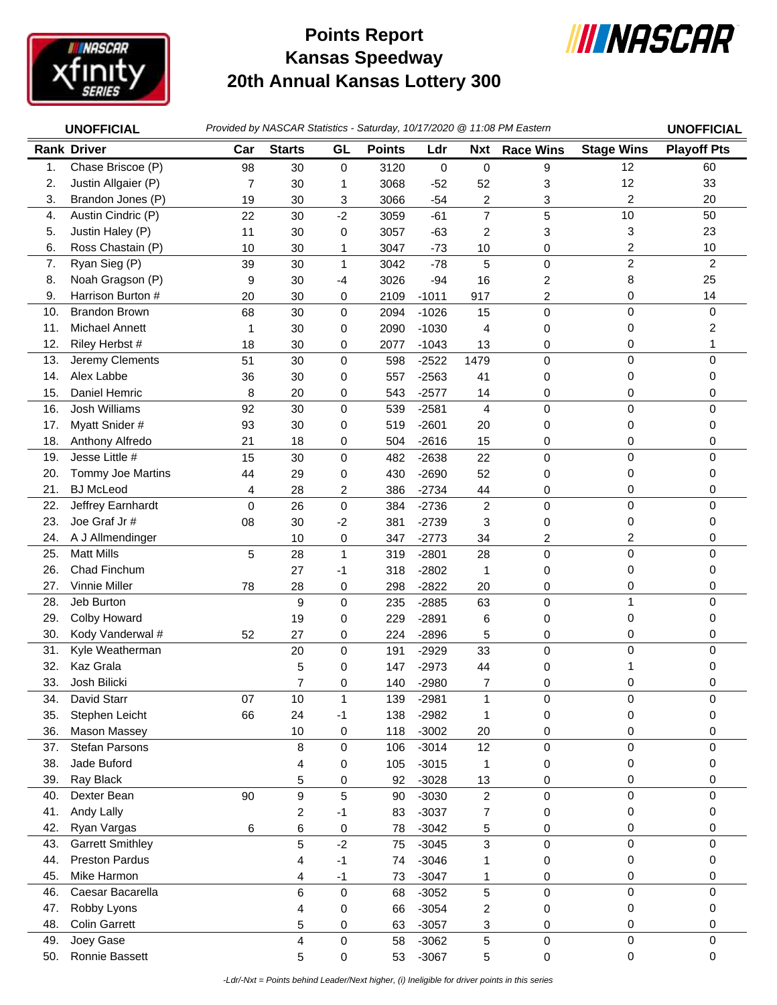

## **Kansas Speedway 20th Annual Kansas Lottery 300 Points Report**



|            | Provided by NASCAR Statistics - Saturday, 10/17/2020 @ 11:08 PM Eastern<br><b>UNOFFICIAL</b> |                |                         |                         |               |                    |                  | <b>UNOFFICIAL</b> |                         |                    |
|------------|----------------------------------------------------------------------------------------------|----------------|-------------------------|-------------------------|---------------|--------------------|------------------|-------------------|-------------------------|--------------------|
|            | <b>Rank Driver</b>                                                                           | Car            | <b>Starts</b>           | GL                      | <b>Points</b> | Ldr                | <b>Nxt</b>       | <b>Race Wins</b>  | <b>Stage Wins</b>       | <b>Playoff Pts</b> |
| 1.         | Chase Briscoe (P)                                                                            | 98             | 30                      | 0                       | 3120          | 0                  | $\pmb{0}$        | 9                 | 12                      | 60                 |
| 2.         | Justin Allgaier (P)                                                                          | $\overline{7}$ | 30                      | 1                       | 3068          | $-52$              | 52               | 3                 | 12                      | 33                 |
| 3.         | Brandon Jones (P)                                                                            | 19             | 30                      | 3                       | 3066          | $-54$              | $\overline{c}$   | 3                 | $\overline{c}$          | 20                 |
| 4.         | Austin Cindric (P)                                                                           | 22             | 30                      | $-2$                    | 3059          | $-61$              | $\overline{7}$   | 5                 | 10                      | 50                 |
| 5.         | Justin Haley (P)                                                                             | 11             | 30                      | 0                       | 3057          | $-63$              | $\overline{c}$   | 3                 | 3                       | 23                 |
| 6.         | Ross Chastain (P)                                                                            | 10             | 30                      | 1                       | 3047          | $-73$              | 10               | 0                 | $\overline{\mathbf{c}}$ | 10                 |
| 7.         | Ryan Sieg (P)                                                                                | 39             | 30                      | $\mathbf{1}$            | 3042          | $-78$              | 5                | 0                 | $\overline{c}$          | $\overline{c}$     |
| 8.         | Noah Gragson (P)                                                                             | 9              | 30                      | $-4$                    | 3026          | $-94$              | 16               | 2                 | 8                       | 25                 |
| 9.         | Harrison Burton #                                                                            | 20             | 30                      | 0                       | 2109          | $-1011$            | 917              | 2                 | 0                       | 14                 |
| 10.        | <b>Brandon Brown</b>                                                                         | 68             | 30                      | 0                       | 2094          | $-1026$            | 15               | 0                 | 0                       | 0                  |
| 11.        | <b>Michael Annett</b>                                                                        | 1              | 30                      | 0                       | 2090          | $-1030$            | 4                | 0                 | 0                       | $\overline{c}$     |
| 12.        | Riley Herbst #                                                                               | 18             | 30                      | 0                       | 2077          | $-1043$            | 13               | 0                 | 0                       | 1                  |
| 13.        | Jeremy Clements                                                                              | 51             | 30                      | $\pmb{0}$               | 598           | $-2522$            | 1479             | 0                 | $\mathbf 0$             | $\Omega$           |
| 14.        | Alex Labbe                                                                                   | 36             | 30                      | 0                       | 557           | $-2563$            | 41               | 0                 | 0                       | 0                  |
| 15.        | Daniel Hemric                                                                                | 8              | 20                      | 0                       | 543           | $-2577$            | 14               | 0                 | 0                       | 0                  |
| 16.        | Josh Williams                                                                                | 92             | 30                      | 0                       | 539           | $-2581$            | $\overline{4}$   | $\pmb{0}$         | $\pmb{0}$               | $\mathbf 0$        |
| 17.        | Myatt Snider #                                                                               | 93             | 30                      | 0                       | 519           | $-2601$            | 20               | 0                 | 0                       | 0                  |
| 18.        | Anthony Alfredo                                                                              | 21             | 18                      | 0                       | 504           | $-2616$            | 15               | 0                 | 0                       | 0                  |
| 19.        | Jesse Little #                                                                               | 15             | 30                      | 0                       | 482           | $-2638$            | 22               | $\mathsf 0$       | $\mathbf 0$             | $\mathbf 0$        |
| 20.        | Tommy Joe Martins                                                                            | 44             | 29                      | 0                       | 430           | $-2690$            | 52               | 0                 | 0                       | 0                  |
| 21.        | <b>BJ</b> McLeod                                                                             | 4              | 28                      | $\overline{\mathbf{c}}$ | 386           | $-2734$            | 44               | 0                 | 0                       | 0                  |
| 22.        | Jeffrey Earnhardt                                                                            | 0              | 26                      | $\pmb{0}$               | 384           | $-2736$            | $\overline{c}$   | 0                 | $\mathbf 0$             | $\mathbf 0$        |
| 23.        | Joe Graf Jr#                                                                                 | 08             | 30                      | $-2$                    | 381           | $-2739$            | 3                | 0                 | 0                       | 0                  |
| 24.        | A J Allmendinger                                                                             |                | 10                      | 0                       | 347           | $-2773$            | 34               | 2                 | 2                       | 0                  |
| 25.        | <b>Matt Mills</b>                                                                            | 5              | 28                      | $\mathbf{1}$            | 319           | $-2801$            | 28               | 0                 | $\mathbf 0$             | 0                  |
| 26.        | Chad Finchum                                                                                 |                | 27                      | $-1$                    | 318           | $-2802$            | $\mathbf{1}$     | 0                 | 0                       | 0                  |
| 27.        | Vinnie Miller                                                                                | 78             | 28                      | 0                       | 298           | $-2822$            | 20               | 0                 | 0                       | 0                  |
| 28.        | Jeb Burton                                                                                   |                | 9                       | $\pmb{0}$               | 235           | $-2885$            | 63               | $\mathsf 0$       | 1                       | $\Omega$           |
| 29.        | Colby Howard                                                                                 |                | 19                      | 0                       | 229           | $-2891$            | 6                | 0                 | 0                       | 0                  |
| 30.<br>31. | Kody Vanderwal #<br>Kyle Weatherman                                                          | 52             | 27<br>20                | 0<br>$\pmb{0}$          | 224           | $-2896$            | 5<br>33          | 0<br>$\mathsf 0$  | 0<br>$\mathbf 0$        | 0<br>0             |
| 32.        | Kaz Grala                                                                                    |                | 5                       | 0                       | 191<br>147    | $-2929$<br>$-2973$ | 44               |                   |                         | 0                  |
| 33.        | Josh Bilicki                                                                                 |                | $\overline{7}$          | 0                       | 140           |                    | 7                | 0<br>0            | 0                       | 0                  |
| 34.        | David Starr                                                                                  | 07             | 10                      | $\mathbf{1}$            | 139           | $-2980$<br>$-2981$ | 1                | 0                 | $\pmb{0}$               | 0                  |
| 35.        | Stephen Leicht                                                                               | 66             | 24                      | $-1$                    | 138           | $-2982$            | 1                | 0                 | 0                       | 0                  |
| 36.        | Mason Massey                                                                                 |                | 10                      | 0                       | 118           | $-3002$            | 20               | 0                 | 0                       | 0                  |
| 37.        | <b>Stefan Parsons</b>                                                                        |                | 8                       | $\mathbf 0$             | 106           | $-3014$            | 12               | 0                 | $\mathbf 0$             | $\Omega$           |
| 38.        | Jade Buford                                                                                  |                | 4                       | 0                       | 105           | $-3015$            | $\mathbf{1}$     | 0                 | 0                       | 0                  |
| 39.        | Ray Black                                                                                    |                | 5                       | 0                       | 92            | $-3028$            | 13               | 0                 | 0                       | 0                  |
| 40.        | Dexter Bean                                                                                  | 90             | 9                       | 5                       | 90            | $-3030$            | $\boldsymbol{2}$ | 0                 | 0                       | 0                  |
| 41.        | Andy Lally                                                                                   |                | $\overline{\mathbf{c}}$ | $-1$                    | 83            | $-3037$            | $\overline{7}$   | 0                 | 0                       | 0                  |
| 42.        | Ryan Vargas                                                                                  | 6              | 6                       | 0                       | 78            | $-3042$            | 5                | 0                 | 0                       | 0                  |
| 43.        | <b>Garrett Smithley</b>                                                                      |                | 5                       | $-2$                    | 75            | $-3045$            | 3                | $\mathsf 0$       | $\mathbf 0$             | $\mathbf 0$        |
| 44.        | <b>Preston Pardus</b>                                                                        |                | 4                       | $-1$                    | 74            | $-3046$            | 1                | 0                 | 0                       | 0                  |
| 45.        | Mike Harmon                                                                                  |                | 4                       | $-1$                    | 73            | $-3047$            | 1                | 0                 | 0                       | 0                  |
| 46.        | Caesar Bacarella                                                                             |                | 6                       | $\mathbf 0$             | 68            | $-3052$            | 5                | $\mathsf 0$       | $\mathbf 0$             | $\Omega$           |
| 47.        | Robby Lyons                                                                                  |                | 4                       | $\mathbf 0$             | 66            | $-3054$            | $\overline{c}$   | 0                 | 0                       | 0                  |
| 48.        | <b>Colin Garrett</b>                                                                         |                | 5                       | 0                       | 63            | $-3057$            | 3                | 0                 | 0                       | 0                  |
| 49.        | Joey Gase                                                                                    |                | 4                       | $\pmb{0}$               | 58            | $-3062$            | 5                | 0                 | $\mathsf{O}\xspace$     | 0                  |
| 50.        | Ronnie Bassett                                                                               |                | 5                       | 0                       | 53            | $-3067$            | 5                | 0                 | 0                       | 0                  |